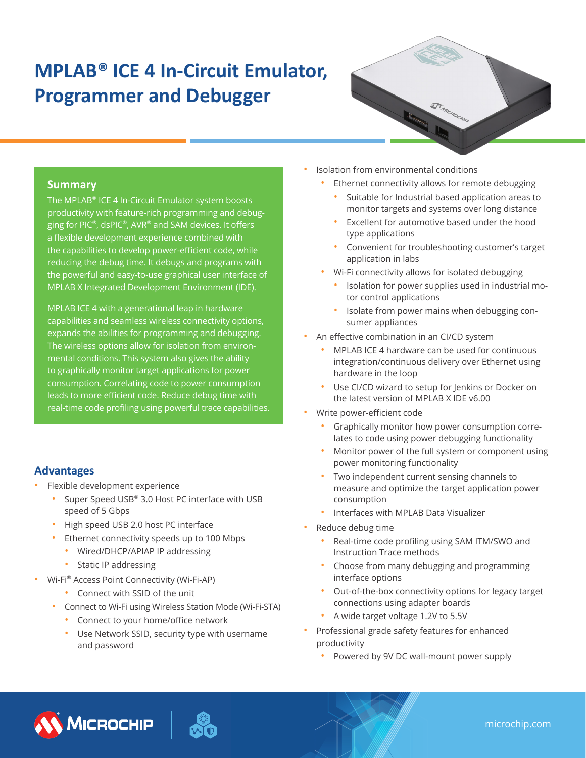# **MPLAB® ICE 4 In-Circuit Emulator, Programmer and Debugger**



## **Summary**

The MPLAB® ICE 4 In-Circuit Emulator system boosts productivity with feature-rich programming and debugging for PIC®, dsPIC®, AVR® and SAM devices. It offers a flexible development experience combined with the capabilities to develop power-efficient code, while reducing the debug time. It debugs and programs with the powerful and easy-to-use graphical user interface of MPLAB X Integrated Development Environment (IDE).

MPLAB ICE 4 with a generational leap in hardware capabilities and seamless wireless connectivity options, expands the abilities for programming and debugging. The wireless options allow for isolation from environmental conditions. This system also gives the ability to graphically monitor target applications for power consumption. Correlating code to power consumption leads to more efficient code. Reduce debug time with real-time code profiling using powerful trace capabilities.

# **Advantages**

- Flexible development experience
	- Super Speed USB® 3.0 Host PC interface with USB speed of 5 Gbps
	- High speed USB 2.0 host PC interface
	- Ethernet connectivity speeds up to 100 Mbps
		- Wired/DHCP/APIAP IP addressing
		- Static IP addressing
- Wi-Fi® Access Point Connectivity (Wi-Fi-AP)
	- Connect with SSID of the unit
	- Connect to Wi-Fi using Wireless Station Mode (Wi-Fi-STA)
		- Connect to your home/office network
		- Use Network SSID, security type with username and password
- Isolation from environmental conditions
	- Ethernet connectivity allows for remote debugging
		- Suitable for Industrial based application areas to monitor targets and systems over long distance
		- Excellent for automotive based under the hood type applications
		- Convenient for troubleshooting customer's target application in labs
	- Wi-Fi connectivity allows for isolated debugging
		- Isolation for power supplies used in industrial motor control applications
		- Isolate from power mains when debugging consumer appliances
- An effective combination in an CI/CD system
	- MPLAB ICE 4 hardware can be used for continuous integration/continuous delivery over Ethernet using hardware in the loop
	- Use CI/CD wizard to setup for Jenkins or Docker on the latest version of MPLAB X IDE v6.00
- Write power-efficient code
	- Graphically monitor how power consumption correlates to code using power debugging functionality
	- Monitor power of the full system or component using power monitoring functionality
	- Two independent current sensing channels to measure and optimize the target application power consumption
	- Interfaces with MPLAB Data Visualizer
- Reduce debug time
	- Real-time code profiling using SAM ITM/SWO and Instruction Trace methods
	- Choose from many debugging and programming interface options
	- Out-of-the-box connectivity options for legacy target connections using adapter boards
	- A wide target voltage 1.2V to 5.5V
	- Professional grade safety features for enhanced productivity
		- Powered by 9V DC wall-mount power supply